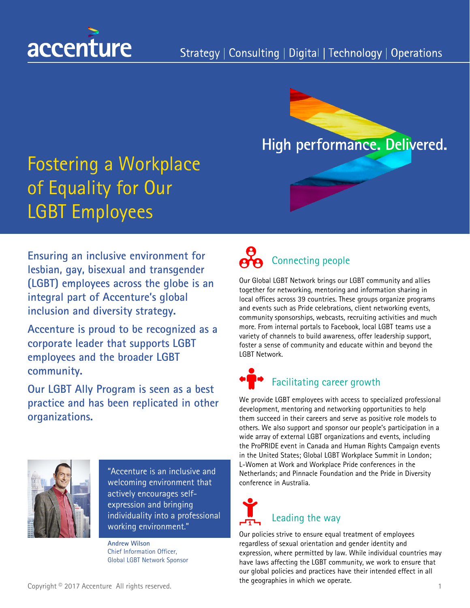



# Fostering a Workplace of Equality for Our LGBT Employees

**Ensuring an inclusive environment for lesbian, gay, bisexual and transgender (LGBT) employees across the globe is an integral part of Accenture's global inclusion and diversity strategy.**

**Accenture is proud to be recognized as a corporate leader that supports LGBT employees and the broader LGBT community.** 

**Our LGBT Ally Program is seen as a best practice and has been replicated in other organizations.**



"Accenture is an inclusive and welcoming environment that actively encourages selfexpression and bringing individuality into a professional working environment."

**Andrew Wilson** Chief Information Officer, Global LGBT Network Sponsor

# Connecting people

Our Global LGBT Network brings our LGBT community and allies together for networking, mentoring and information sharing in local offices across 39 countries. These groups organize programs and events such as Pride celebrations, client networking events, community sponsorships, webcasts, recruiting activities and much more. From internal portals to Facebook, local LGBT teams use a variety of channels to build awareness, offer leadership support, foster a sense of community and educate within and beyond the LGBT Network.

## Facilitating career growth

We provide LGBT employees with access to specialized professional development, mentoring and networking opportunities to help them succeed in their careers and serve as positive role models to others. We also support and sponsor our people's participation in a wide array of external LGBT organizations and events, including the ProPRIDE event in Canada and Human Rights Campaign events in the United States; Global LGBT Workplace Summit in London; L-Women at Work and Workplace Pride conferences in the Netherlands; and Pinnacle Foundation and the Pride in Diversity conference in Australia.

# Leading the way

Our policies strive to ensure equal treatment of employees regardless of sexual orientation and gender identity and expression, where permitted by law. While individual countries may have laws affecting the LGBT community, we work to ensure that our global policies and practices have their intended effect in all the geographies in which we operate.